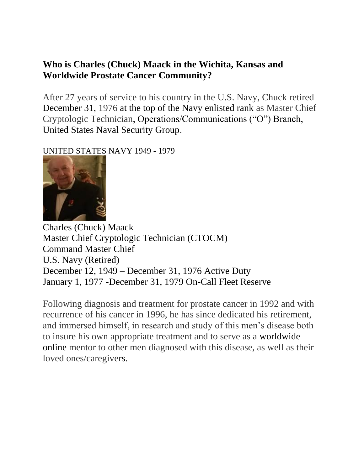## **Who is Charles (Chuck) Maack in the Wichita, Kansas and Worldwide Prostate Cancer Community?**

After 27 years of service to his country in the U.S. Navy, Chuck retired December 31, 1976 at the top of the Navy enlisted rank as Master Chief Cryptologic Technician, Operations/Communications ("O") Branch, United States Naval Security Group.

UNITED STATES NAVY 1949 - 1979



Charles (Chuck) Maack Master Chief Cryptologic Technician (CTOCM) Command Master Chief U.S. Navy (Retired) December 12, 1949 – December 31, 1976 Active Duty January 1, 1977 -December 31, 1979 On-Call Fleet Reserve

Following diagnosis and treatment for prostate cancer in 1992 and with recurrence of his cancer in 1996, he has since dedicated his retirement, and immersed himself, in research and study of this men's disease both to insure his own appropriate treatment and to serve as a worldwide online mentor to other men diagnosed with this disease, as well as their loved ones/caregivers.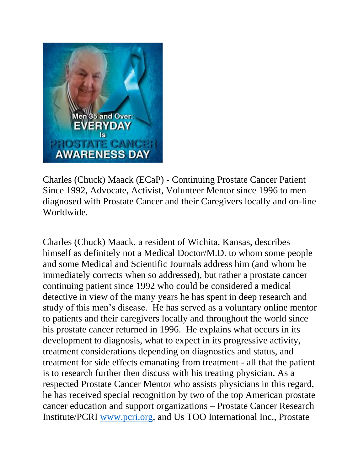

Charles (Chuck) Maack (ECaP) - Continuing Prostate Cancer Patient Since 1992, Advocate, Activist, Volunteer Mentor since 1996 to men diagnosed with Prostate Cancer and their Caregivers locally and on-line Worldwide.

Charles (Chuck) Maack, a resident of Wichita, Kansas, describes himself as definitely not a Medical Doctor/M.D. to whom some people and some Medical and Scientific Journals address him (and whom he immediately corrects when so addressed), but rather a prostate cancer continuing patient since 1992 who could be considered a medical detective in view of the many years he has spent in deep research and study of this men's disease. He has served as a voluntary online mentor to patients and their caregivers locally and throughout the world since his prostate cancer returned in 1996. He explains what occurs in its development to diagnosis, what to expect in its progressive activity, treatment considerations depending on diagnostics and status, and treatment for side effects emanating from treatment - all that the patient is to research further then discuss with his treating physician. As a respected Prostate Cancer Mentor who assists physicians in this regard, he has received special recognition by two of the top American prostate cancer education and support organizations – Prostate Cancer Research Institute/PCRI [www.pcri.org,](http://www.pcri.org/) and Us TOO International Inc., Prostate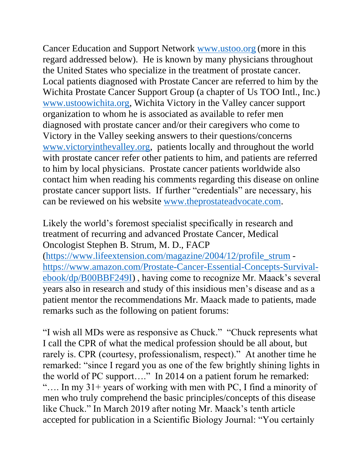Cancer Education and Support Network [www.ustoo.org](http://www.ustoo.org/) (more in this regard addressed below). He is known by many physicians throughout the United States who specialize in the treatment of prostate cancer. Local patients diagnosed with Prostate Cancer are referred to him by the Wichita Prostate Cancer Support Group (a chapter of Us TOO Intl., Inc.) [www.ustoowichita.org,](http://www.ustoowichita.org/) Wichita Victory in the Valley cancer support organization to whom he is associated as available to refer men diagnosed with prostate cancer and/or their caregivers who come to Victory in the Valley seeking answers to their questions/concerns [www.victoryinthevalley.org,](http://www.victoryinthevalley.org/) patients locally and throughout the world with prostate cancer refer other patients to him, and patients are referred to him by local physicians. Prostate cancer patients worldwide also contact him when reading his comments regarding this disease on online prostate cancer support lists. If further "credentials" are necessary, his can be reviewed on his website [www.theprostateadvocate.com.](http://www.theprostateadvocate.com/)

Likely the world's foremost specialist specifically in research and treatment of recurring and advanced Prostate Cancer, Medical Oncologist Stephen B. Strum, M. D., FACP [\(https://www.lifeextension.com/magazine/2004/12/profile\\_strum](https://www.lifeextension.com/magazine/2004/12/profile_strum) [https://www.amazon.com/Prostate-Cancer-Essential-Concepts-Survival](https://www.amazon.com/Prostate-Cancer-Essential-Concepts-Survival-ebook/dp/B00BBF249I)[ebook/dp/B00BBF249I\)](https://www.amazon.com/Prostate-Cancer-Essential-Concepts-Survival-ebook/dp/B00BBF249I) , having come to recognize Mr. Maack's several years also in research and study of this insidious men's disease and as a patient mentor the recommendations Mr. Maack made to patients, made remarks such as the following on patient forums:

"I wish all MDs were as responsive as Chuck." "Chuck represents what I call the CPR of what the medical profession should be all about, but rarely is. CPR (courtesy, professionalism, respect)." At another time he remarked: "since I regard you as one of the few brightly shining lights in the world of PC support…." In 2014 on a patient forum he remarked: "…. In my 31+ years of working with men with PC, I find a minority of men who truly comprehend the basic principles/concepts of this disease like Chuck." In March 2019 after noting Mr. Maack's tenth article accepted for publication in a Scientific Biology Journal: "You certainly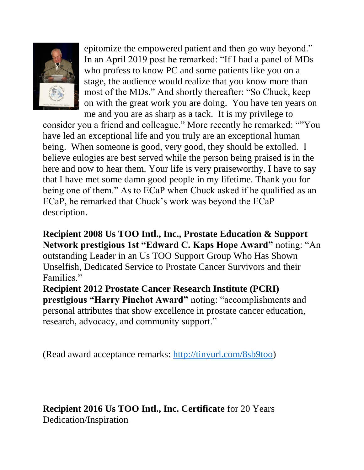

epitomize the empowered patient and then go way beyond." In an April 2019 post he remarked: "If I had a panel of MDs who profess to know PC and some patients like you on a stage, the audience would realize that you know more than most of the MDs." And shortly thereafter: "So Chuck, keep on with the great work you are doing. You have ten years on me and you are as sharp as a tack. It is my privilege to

consider you a friend and colleague." More recently he remarked: ""You have led an exceptional life and you truly are an exceptional human being. When someone is good, very good, they should be extolled. I believe eulogies are best served while the person being praised is in the here and now to hear them. Your life is very praiseworthy. I have to say that I have met some damn good people in my lifetime. Thank you for being one of them." As to ECaP when Chuck asked if he qualified as an ECaP, he remarked that Chuck's work was beyond the ECaP description.

**Recipient 2008 Us TOO Intl., Inc., Prostate Education & Support Network prestigious 1st "Edward C. Kaps Hope Award"** noting: "An outstanding Leader in an Us TOO Support Group Who Has Shown Unselfish, Dedicated Service to Prostate Cancer Survivors and their Families."

**Recipient 2012 Prostate Cancer Research Institute (PCRI) prestigious "Harry Pinchot Award"** noting: "accomplishments and personal attributes that show excellence in prostate cancer education, research, advocacy, and community support."

(Read award acceptance remarks: [http://tinyurl.com/8sb9too\)](http://tinyurl.com/8sb9too)

**Recipient 2016 Us TOO Intl., Inc. Certificate** for 20 Years Dedication/Inspiration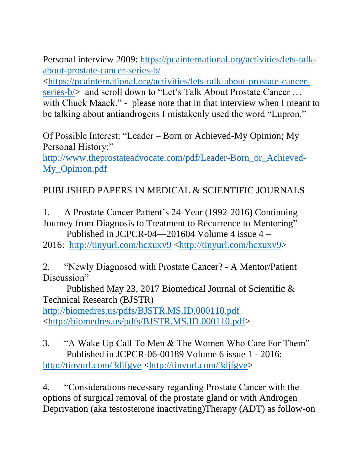Personal interview 2009: [https://pcainternational.org/activities/lets-talk](https://pcainternational.org/activities/lets-talk-about-prostate-cancer-series-b/)[about-prostate-cancer-series-b/](https://pcainternational.org/activities/lets-talk-about-prostate-cancer-series-b/)

[<https://pcainternational.org/activities/lets-talk-about-prostate-cancer](https://pcainternational.org/activities/lets-talk-about-prostate-cancer-series-b/)[series-b/>](https://pcainternational.org/activities/lets-talk-about-prostate-cancer-series-b/) and scroll down to "Let's Talk About Prostate Cancer ... with Chuck Maack." - please note that in that interview when I meant to be talking about antiandrogens I mistakenly used the word "Lupron."

Of Possible Interest: "Leader – Born or Achieved-My Opinion; My Personal History:"

[http://www.theprostateadvocate.com/pdf/Leader-Born\\_or\\_Achieved-](http://www.theprostateadvocate.com/pdf/Leader-Born_or_Achieved-My_Opinion.pdf)[My\\_Opinion.pdf](http://www.theprostateadvocate.com/pdf/Leader-Born_or_Achieved-My_Opinion.pdf)

## PUBLISHED PAPERS IN MEDICAL & SCIENTIFIC JOURNALS

1. A Prostate Cancer Patient's 24-Year (1992-2016) Continuing Journey from Diagnosis to Treatment to Recurrence to Mentoring"

Published in JCPCR-04—201604 Volume 4 issue 4 –

2016: <http://tinyurl.com/hcxuxv9> [<http://tinyurl.com/hcxuxv9>](http://tinyurl.com/hcxuxv9)

2. "Newly Diagnosed with Prostate Cancer? - A Mentor/Patient Discussion"

 Published May 23, 2017 Biomedical Journal of Scientific & Technical Research (BJSTR)

<http://biomedres.us/pdfs/BJSTR.MS.ID.000110.pdf> [<http://biomedres.us/pdfs/BJSTR.MS.ID.000110.pdf>](http://biomedres.us/pdfs/BJSTR.MS.ID.000110.pdf)

3. "A Wake Up Call To Men & The Women Who Care For Them" Published in JCPCR-06-00189 Volume 6 issue 1 - 2016: <http://tinyurl.com/3djfgve> [<http://tinyurl.com/3djfgve>](http://tinyurl.com/3djfgve)

4. "Considerations necessary regarding Prostate Cancer with the options of surgical removal of the prostate gland or with Androgen Deprivation (aka testosterone inactivating)Therapy (ADT) as follow-on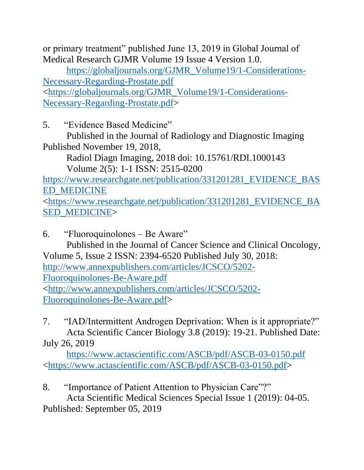or primary treatment" published June 13, 2019 in Global Journal of Medical Research GJMR Volume 19 Issue 4 Version 1.0.

 [https://globaljournals.org/GJMR\\_Volume19/1-Considerations-](https://globaljournals.org/GJMR_Volume19/1-Considerations-Necessary-Regarding-Prostate.pdf)[Necessary-Regarding-Prostate.pdf](https://globaljournals.org/GJMR_Volume19/1-Considerations-Necessary-Regarding-Prostate.pdf) [<https://globaljournals.org/GJMR\\_Volume19/1-Considerations-](https://globaljournals.org/GJMR_Volume19/1-Considerations-Necessary-Regarding-Prostate.pdf)[Necessary-Regarding-Prostate.pdf>](https://globaljournals.org/GJMR_Volume19/1-Considerations-Necessary-Regarding-Prostate.pdf)

5. "Evidence Based Medicine"

 Published in the Journal of Radiology and Diagnostic Imaging Published November 19, 2018,

 Radiol Diagn Imaging, 2018 doi: 10.15761/RDI.1000143 Volume 2(5): 1-1 ISSN: 2515-0200

[https://www.researchgate.net/publication/331201281\\_EVIDENCE\\_BAS](https://www.researchgate.net/publication/331201281_EVIDENCE_BASED_MEDICINE) [ED\\_MEDICINE](https://www.researchgate.net/publication/331201281_EVIDENCE_BASED_MEDICINE)

[<https://www.researchgate.net/publication/331201281\\_EVIDENCE\\_BA](https://www.researchgate.net/publication/331201281_EVIDENCE_BASED_MEDICINE) [SED\\_MEDICINE>](https://www.researchgate.net/publication/331201281_EVIDENCE_BASED_MEDICINE)

- 6. "Fluoroquinolones Be Aware" Published in the Journal of Cancer Science and Clinical Oncology, Volume 5, Issue 2 ISSN: 2394-6520 Published July 30, 2018: [http://www.annexpublishers.com/articles/JCSCO/5202-](http://www.annexpublishers.com/articles/JCSCO/5202-Fluoroquinolones-Be-Aware.pdf) [Fluoroquinolones-Be-Aware.pdf](http://www.annexpublishers.com/articles/JCSCO/5202-Fluoroquinolones-Be-Aware.pdf) [<http://www.annexpublishers.com/articles/JCSCO/5202-](http://www.annexpublishers.com/articles/JCSCO/5202-Fluoroquinolones-Be-Aware.pdf) [Fluoroquinolones-Be-Aware.pdf>](http://www.annexpublishers.com/articles/JCSCO/5202-Fluoroquinolones-Be-Aware.pdf)
- 7. "IAD/Intermittent Androgen Deprivation: When is it appropriate?" Acta Scientific Cancer Biology 3.8 (2019): 19-21. Published Date: July 26, 2019

 <https://www.actascientific.com/ASCB/pdf/ASCB-03-0150.pdf> [<https://www.actascientific.com/ASCB/pdf/ASCB-03-0150.pdf>](https://www.actascientific.com/ASCB/pdf/ASCB-03-0150.pdf)

8. "Importance of Patient Attention to Physician Care"?" Acta Scientific Medical Sciences Special Issue 1 (2019): 04-05. Published: September 05, 2019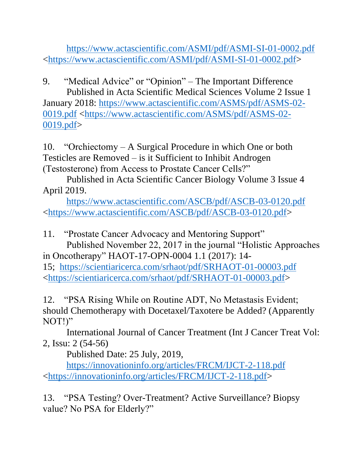<https://www.actascientific.com/ASMI/pdf/ASMI-SI-01-0002.pdf> [<https://www.actascientific.com/ASMI/pdf/ASMI-SI-01-0002.pdf>](https://www.actascientific.com/ASMI/pdf/ASMI-SI-01-0002.pdf)

9. "Medical Advice" or "Opinion" – The Important Difference Published in Acta Scientific Medical Sciences Volume 2 Issue 1 January 2018: [https://www.actascientific.com/ASMS/pdf/ASMS-02-](https://www.actascientific.com/ASMS/pdf/ASMS-02-0019.pdf) [0019.pdf](https://www.actascientific.com/ASMS/pdf/ASMS-02-0019.pdf) [<https://www.actascientific.com/ASMS/pdf/ASMS-02-](https://www.actascientific.com/ASMS/pdf/ASMS-02-0019.pdf) [0019.pdf>](https://www.actascientific.com/ASMS/pdf/ASMS-02-0019.pdf)

10. "Orchiectomy – A Surgical Procedure in which One or both Testicles are Removed – is it Sufficient to Inhibit Androgen (Testosterone) from Access to Prostate Cancer Cells?"

 Published in Acta Scientific Cancer Biology Volume 3 Issue 4 April 2019.

 <https://www.actascientific.com/ASCB/pdf/ASCB-03-0120.pdf> [<https://www.actascientific.com/ASCB/pdf/ASCB-03-0120.pdf>](https://www.actascientific.com/ASCB/pdf/ASCB-03-0120.pdf)

11. "Prostate Cancer Advocacy and Mentoring Support" Published November 22, 2017 in the journal "Holistic Approaches in Oncotherapy" HAOT-17-OPN-0004 1.1 (2017): 14-

15; <https://scientiaricerca.com/srhaot/pdf/SRHAOT-01-00003.pdf> [<https://scientiaricerca.com/srhaot/pdf/SRHAOT-01-00003.pdf>](https://scientiaricerca.com/srhaot/pdf/SRHAOT-01-00003.pdf)

12. "PSA Rising While on Routine ADT, No Metastasis Evident; should Chemotherapy with Docetaxel/Taxotere be Added? (Apparently NOT!)"

 International Journal of Cancer Treatment (Int J Cancer Treat Vol: 2, Issu: 2 (54-56)

Published Date: 25 July, 2019,

 <https://innovationinfo.org/articles/FRCM/IJCT-2-118.pdf> [<https://innovationinfo.org/articles/FRCM/IJCT-2-118.pdf>](https://innovationinfo.org/articles/FRCM/IJCT-2-118.pdf)

13. "PSA Testing? Over-Treatment? Active Surveillance? Biopsy value? No PSA for Elderly?"